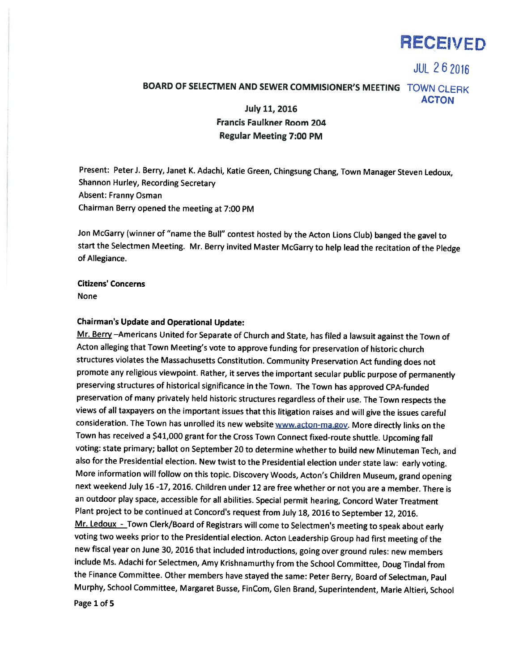

**JUL 262016** 

# BOARD OF SELECTMEN AND SEWER COMMISIONER'S MEETING TOWN CLERK ACTON July 11, 2016

Francis Faulkner Room 204 Regular Meeting 7:00 PM

Present: Peter J. Berry, Janet K. Adachi, Katie Green, Chingsung Chang, Town Manager Steven Ledoux, Shannon Hurley, Recording Secretary Absent: Franny Osman Chairman Berry opened the meeting at 7:00 PM

Jon McGarry (winner of "name the Bull" contest hosted by the Acton Lions Club) banged the gavel to start the Selectmen Meeting. Mr. Berry invited Master McGarry to help lead the recitation of the Pledge of Allegiance.

Citizens' Concerns None

#### Chairman's Update and Operational Update:

Mr. Berry -Americans United for Separate of Church and State, has filed a lawsuit against the Town of Acton alleging that Town Meeting's vote to approve funding for preservation of historic church structures violates the Massachusetts Constitution. Community Preservation Act funding does not promote any religious viewpoint. Rather, it serves the important secular public purpose of permanently preserving structures of historical significance in the Town. The Town has approved CPA-funded preservation of many privately held historic structures regardless of their use. The Town respects the views of all taxpayers on the important issues that this litigation raises and will <sup>g</sup>ive the issues careful consideration. The Town has unrolled its new website www.acton-ma.gov. More directly links on the Town has received <sup>a</sup> \$41,000 grant for the Cross Town Connect fixed-route shuttle. Upcoming fall voting: state primary; ballot on September <sup>20</sup> to determine whether to build new Minuteman Tech, and also for the Presidential election. New twist to the Presidential election under state law: early voting. More information will follow on this topic. Discovery Woods, Acton's Children Museum, grand opening next weekend July <sup>16</sup> -17, 2016. Children under <sup>12</sup> are free whether or not you are <sup>a</sup> member. There is an outdoor <sup>p</sup>lay space, accessible for all abilities. Special permit hearing, Concord Water Treatment Plant project to be continued at Concord's request from July 18, <sup>2016</sup> to September 12, 2016. Mr. Ledoux - Town Clerk/Board of Registrars will come to Selectmen's meeting to speak about early voting two weeks prior to the Presidential election. Acton Leadership Group had first meeting of the new fiscal year on June 30, <sup>2016</sup> that included introductions, going over ground rules: new members include Ms. Adachi for Selectmen, Amy Krishnamurthy from the School Committee, Doug Tindal from the Finance Committee. Other members have stayed the same: Peter Berry, Board of Selectman, Paul Murphy, School Committee, Margaret Busse, FinCom, Glen Brand, Superintendent, Marie Altieri, School

Page 1 of 5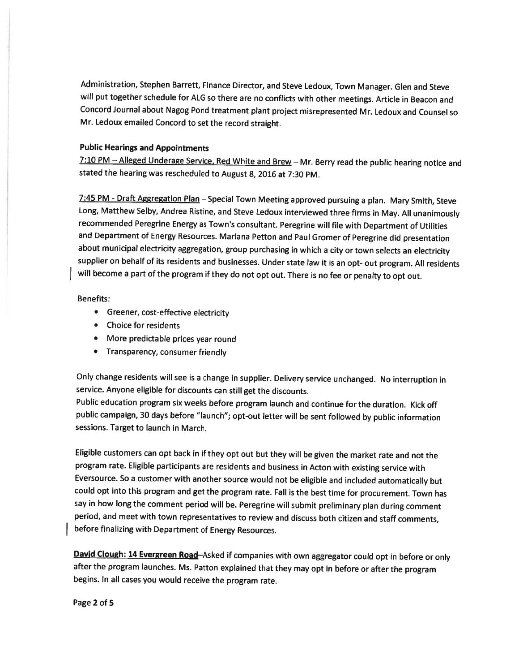Administration, Stephen Barrett, Finance Director, and Steve Ledoux, Town Manager. Glen and Steve will put together schedule for ALG so there are no conflicts with other meetings. Article in Beacon and Concord Journal about Nagog Pond treatment <sup>p</sup>lant project misrepresented Mr. Ledoux and Counsel so Mr. Ledoux emailed Concord to set the record straight.

## Public Hearings and Appointments

7:10 PM - Alleged Underage Service, Red White and Brew - Mr. Berry read the public hearing notice and stated the hearing was rescheduled to August 8, <sup>2016</sup> at 7:30 PM.

7:45 PM - Draft Aggregation Plan - Special Town Meeting approved pursuing a plan. Mary Smith, Steve Long, Matthew Selby, Andrea Ristine, and Steve Ledoux interviewed three firms in May. All unanimously recommended Peregrine Energy as Town's consultant. Peregrine will file with Department of Utilities and Department of Energy Resources. Marlana Petton and Paul Gromer of Peregrine did presentation about municipal electricity aggregation, group purchasing in which <sup>a</sup> city or town selects an electricity supplier on behalf of its residents and businesses. Under state law it is an opt- out program. All residents will become <sup>a</sup> part of the program if they do not opt out. There is no fee or penalty to opt out.

## Benefits:

- Greener, cost-effective electricity
- Choice for residents
- More predictable prices year round
- Transparency, consumer friendly

Only change residents will see is <sup>a</sup> change in supplier. Delivery service unchanged. No interruption in service. Anyone eligible for discounts can still get the discounts.

Public education program six weeks before program launch and continue for the duration. Kick off public campaign, <sup>30</sup> days before "launch"; opt-out letter will be sent followed by public information sessions. Target to launch in March.

Eligible customers can opt back in if they opt out but they will be <sup>g</sup>iven the market rate and not the program rate. Eligible participants are residents and business in Acton with existing service with Eversource. So <sup>a</sup> customer with another source would not be eligible and included automatically but could opt into this program and get the program rate. Fall is the best time for procurement. Town has say in how long the comment period will be. Peregrine will submit preliminary <sup>p</sup>lan during comment period, and meet with town representatives to review and discuss both citizen and staff comments, before finalizing with Department of Energy Resources.

David Clough: 14 Evergreen Road-Asked if companies with own aggregator could opt in before or only after the program launches. Ms. Patton explained that they may opt in before or after the program begins. In all cases you would receive the program rate.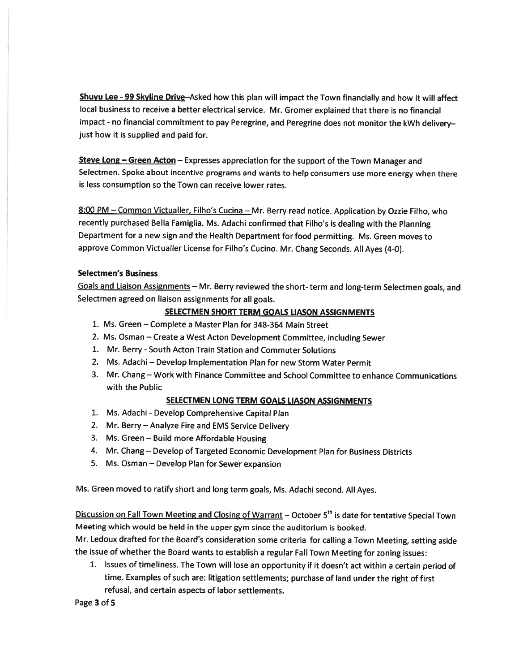Shuyu Lee - 99 Skyline Drive-Asked how this plan will impact the Town financially and how it will affect local business to receive <sup>a</sup> better electrical service. Mr. Gromer explained that there is no financial impact - no financial commitment to pay Peregrine, and Peregrine does not monitor the kWh delivery just how it is supplied and paid for.

Steve Long – Green Acton – Expresses appreciation for the support of the Town Manager and Selectmen. Spoke about incentive programs and wants to help consumers use more energy when there is less consumption so the Town can receive lower rates.

8:00 PM - Common Victualler, Filho's Cucina - Mr. Berry read notice. Application by Ozzie Filho, who recently purchased Bella Famiglia. Ms. Adachi confirmed that Filho's is dealing with the Planning Department for <sup>a</sup> new sign and the Health Department for food permitting. Ms. Green moves to approve Common Victualler License for Filho's Cucino. Mr. Chang Seconds. All Ayes (4-0).

## Selectmen's Business

Goals and Liaison Assignments - Mr. Berry reviewed the short- term and long-term Selectmen goals, and Selectmen agree<sup>d</sup> on liaison assignments for all goals.

# SELECTMEN SHORT TERM GOALS LIASON ASSIGNMENTS

- 1. Ms. Green Complete <sup>a</sup> Master Plan for 348-364 Main Street
- 2. Ms. Osman Create <sup>a</sup> West Acton Development Committee, including Sewer
- 1. Mr. Berry South Acton Train Station and Commuter Solutions
- 2. Ms. Adachi Develop Implementation Plan for new Storm Water Permit
- 3. Mr. Chang Work with Finance Committee and School Committee to enhance Communications with the Public

#### SELECTMEN LONG TERM GOALS LIASON ASSIGNMENTS

- 1. Ms. Adachi -Develop Comprehensive Capital Plan
- 2. Mr. Berry Analyze Fire and EMS Service Delivery
- 3. Ms. Green Build more Affordable Housing
- 4. Mr. Chang Develop of Targeted Economic Development Plan for Business Districts
- 5. Ms. Osman Develop Plan for Sewer expansion

Ms. Green moved to ratify short and long term goals, Ms. Adachi second. All Ayes.

Discussion on Fall Town Meeting and Closing of Warrant – October 5<sup>th</sup> is date for tentative Special Town Meeting which would be held in the upper gym since the auditorium is booked.

Mr. Ledoux drafted for the Board's consideration some criteria for calling <sup>a</sup> Town Meeting, setting aside the issue of whether the Board wants to establish <sup>a</sup> regular Fall Town Meeting for zoning issues:

1. Issues of timeliness. The Town will lose an opportunity if it doesn't act within <sup>a</sup> certain period of time. Examples of such are: litigation settlements; purchase of land under the right of first refusal, and certain aspects of labor settlements.

Page 3 of 5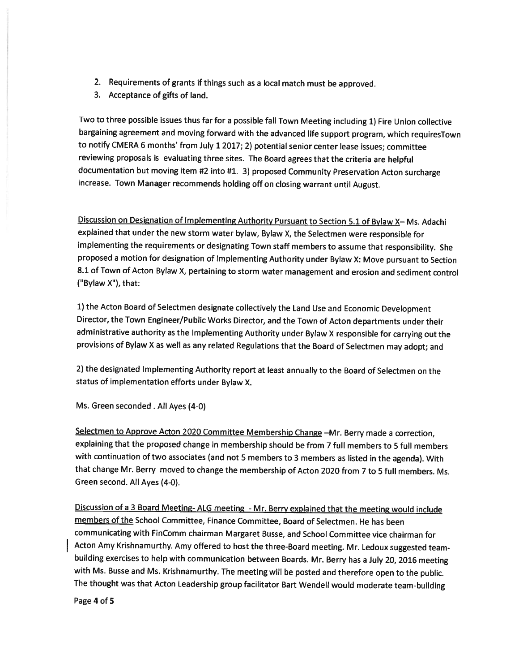- 2. Requirements of grants if things such as <sup>a</sup> local match must be approved.
- 3. Acceptance of <sup>g</sup>ifts of land.

Two to three possible issues thus far for <sup>a</sup> possible fall Town Meeting including 1) Fire Union collective bargaining agreement and moving forward with the advanced life support program, which requiresTown to notify CM ERA <sup>6</sup> months' from July <sup>1</sup> 2017; 2) potential senior center lease issues; committee reviewing proposals is evaluating three sites. The Board agrees that the criteria are helpful documentation but moving item #2 into #1. 3) proposed Community Preservation Acton surcharge increase. Town Manager recommends holding off on closing warrant until August.

Discussion on Designation of Implementing Authority Pursuant to Section 5.1 of Bylaw X— Ms. Adachi explained that under the new storm water bylaw, Bylaw X, the Selectmen were responsible for implementing the requirements or designating Town staff members to assume that responsibility. She proposed <sup>a</sup> motion for designation of Implementing Authority under Bylaw X: Move pursuant to Section 8.1 of Town of Acton Bylaw X, pertaining to storm water management and erosion and sediment control ("Bylaw X"), that:

1) the Acton Board of Selectmen designate collectively the Land Use and Economic Development Director, the Town Engineer/Public Works Director, and the Town of Acton departments under their administrative authority as the Implementing Authority under Bylaw <sup>X</sup> responsible for carrying out the provisions of Bylaw <sup>X</sup> as well as any related Regulations that the Board of Selectmen may adopt; and

2) the designated Implementing Authority report at least annually to the Board of Selectmen on the status of implementation efforts under Bylaw X.

Ms. Green seconded . All Ayes (4-0)

Selectmen to Approve Acton <sup>2020</sup> Committee Membership Change —Mr. Berry made <sup>a</sup> correction, explaining that the proposed change in membership should be from <sup>7</sup> full members to <sup>5</sup> full members with continuation of two associates (and not <sup>5</sup> members to <sup>3</sup> members as listed in the agenda). With that change Mr. Berry moved to change the membership of Acton <sup>2020</sup> from <sup>7</sup> to <sup>5</sup> full members. Ms. Green second. All Ayes (4-0).

Discussion of <sup>a</sup> <sup>3</sup> Board Meeting- ALG meeting - Mr. Berry explained that the meeting would include members of the School Committee, Finance Committee, Board of Selectmen. He has been communicating with FinComm chairman Margaret Busse, and School Committee vice chairman for Acton Amy Krishnamurthy. Amy offered to host the three-Board meeting. Mr. Ledoux suggested teambuilding exercises to help with communication between Boards. Mr. Berry has <sup>a</sup> July 20, <sup>2016</sup> meeting with Ms. Busse and Ms. Krishnamurthy. The meeting will be posted and therefore open to the public. The thought was that Acton Leadership group facilitator Bart Wendell would moderate team-building

Page 4 of 5